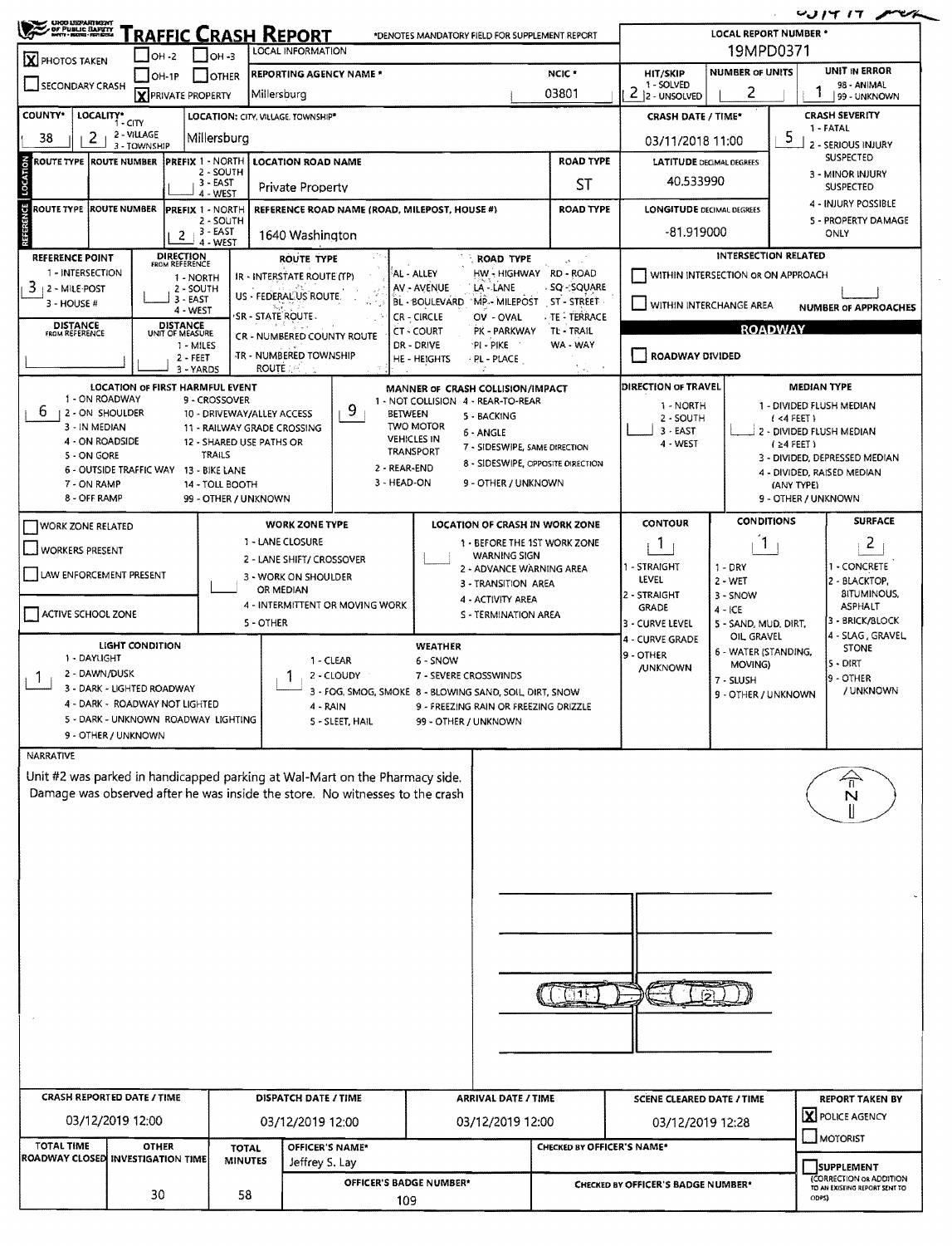| <b>CHOO USEARINGHT</b><br>Fraffic Crash Report<br>*DENOTES MANDATORY FIELD FOR SUPPLEMENT REPORT<br>LOCAL INFORMATION                                                                            |                                                            |                              |                                                                  |                                                                                                                |                                                |                                   |                                                          | LOCAL REPORT NUMBER *                                                    |                                      |                                   |                                                             |  |
|--------------------------------------------------------------------------------------------------------------------------------------------------------------------------------------------------|------------------------------------------------------------|------------------------------|------------------------------------------------------------------|----------------------------------------------------------------------------------------------------------------|------------------------------------------------|-----------------------------------|----------------------------------------------------------|--------------------------------------------------------------------------|--------------------------------------|-----------------------------------|-------------------------------------------------------------|--|
| X PHOTOS TAKEN                                                                                                                                                                                   |                                                            |                              |                                                                  | 19MPD0371<br>UNIT IN ERROR                                                                                     |                                                |                                   |                                                          |                                                                          |                                      |                                   |                                                             |  |
| SECONDARY CRASH                                                                                                                                                                                  | OH-1P<br><b>X</b> PRIVATE PROPERTY                         | I IOTHER                     | <b>REPORTING AGENCY NAME *</b><br>Millersburg                    |                                                                                                                |                                                |                                   | NCIC *<br>03801                                          | HIT/SKIP<br>1 - SOLVED<br>2<br>2 - UNSOLVED                              | <b>NUMBER OF UNITS</b><br>2          |                                   | 98 - ANIMAL<br>99 - UNKNOWN                                 |  |
| COUNTY*<br>LOCALITY* CITY<br>LOCATION: CITY. VILLAGE. TOWNSHIP*                                                                                                                                  |                                                            |                              |                                                                  |                                                                                                                |                                                |                                   |                                                          | <b>CRASH DATE / TIME*</b>                                                |                                      |                                   | <b>CRASH SEVERITY</b>                                       |  |
| 2 - VILLAGE<br>38<br>2<br>Millersburg<br>3 - TOWNSHIP                                                                                                                                            |                                                            |                              |                                                                  |                                                                                                                |                                                |                                   | 1 - FATAL<br>5<br>03/11/2018 11:00<br>2 - SERIOUS INJURY |                                                                          |                                      |                                   |                                                             |  |
| $\overline{6}$<br><b>ROUTE TYPE</b><br>LOCATI                                                                                                                                                    | <b>ROUTE NUMBER</b>                                        | 2 - SOUTH<br>3 - EAST        | PREFIX 1 - NORTH   LOCATION ROAD NAME<br><b>Private Property</b> |                                                                                                                |                                                |                                   | <b>ROAD TYPE</b><br>ST                                   | <b>LATITUDE DECIMAL DEGREES</b><br>40,533990                             |                                      |                                   | <b>SUSPECTED</b><br>3 - MINOR INJURY<br><b>SUSPECTED</b>    |  |
| <b>ROUTE TYPE</b>                                                                                                                                                                                | <b>ROUTE NUMBER</b>                                        | 4 - WEST<br>PREFIX 1 - NORTH | REFERENCE ROAD NAME (ROAD, MILEPOST, HOUSE #)                    |                                                                                                                |                                                | <b>ROAD TYPE</b>                  | <b>LONGITUDE DECIMAL DEGREES</b>                         |                                                                          |                                      | 4 - INJURY POSSIBLE               |                                                             |  |
| <b>REFERENCE</b><br>2 - SOUTH<br>3 - EAST<br>$\overline{z}$<br>1640 Washington<br>4 - WEST                                                                                                       |                                                            |                              |                                                                  |                                                                                                                |                                                |                                   |                                                          | 5 - PROPERTY DAMAGE<br>-81.919000<br>ONLY                                |                                      |                                   |                                                             |  |
| <b>DIRECTION</b><br>FROM REFERENCE<br>REFERENCE POINT<br><b>ROUTE TYPE</b>                                                                                                                       |                                                            |                              |                                                                  |                                                                                                                |                                                | <b>ROAD TYPE</b>                  | $\mathcal{A}^{\pm}$ and                                  | INTERSECTION RELATED                                                     |                                      |                                   |                                                             |  |
| 1 - INTERSECTION<br>3.<br>  2 - MILE POST                                                                                                                                                        |                                                            | 1 - NORTH<br>2 - SOUTH       |                                                                  | HW-HIGHWAY RD-ROAD<br>AL - ALLEY<br>IR - INTERSTATE ROUTE (TP)<br>- SQ ∹SQUARE<br>AV - AVENUE<br>LA - LANE     |                                                |                                   |                                                          |                                                                          | WITHIN INTERSECTION OR ON APPROACH   |                                   |                                                             |  |
| 3 - HOUSE #                                                                                                                                                                                      |                                                            | 3 - EAST<br>4 - WEST         | US - FEDERALUS ROUTE<br>'SR - STATE ROUTE -                      | MP - MILEPOST ST - STREET<br>BL - BOULEVARD<br><b>TE - TERRACE</b><br>CR - CIRCLE<br>OV - OVAL                 |                                                |                                   |                                                          | WITHIN INTERCHANGE AREA<br><b>NUMBER OF APPROACHES</b>                   |                                      |                                   |                                                             |  |
| <b>DISTANCE</b><br>FROM REFERENCE<br><b>DISTANCE</b><br>UNIT OF MEASURE<br>CT - COURT<br>PK - PARKWAY<br><b>CR - NUMBERED COUNTY ROUTE</b><br>DR - DRIVE<br>PI - PIKE<br>1 - MILES               |                                                            |                              |                                                                  |                                                                                                                |                                                |                                   | <b>ROADWAY</b><br>TL - TRAIL<br>WA - WAY                 |                                                                          |                                      |                                   |                                                             |  |
| <b>JR - NUMBERED TOWNSHIP</b><br>$2 - FEET$<br>PL - PLACE<br>HE - HEIGHTS<br>ROUTE.<br>3 - YARDS                                                                                                 |                                                            |                              |                                                                  |                                                                                                                |                                                |                                   |                                                          | ROADWAY DIVIDED                                                          |                                      |                                   |                                                             |  |
| <b>LOCATION OF FIRST HARMFUL EVENT</b><br>MANNER OF CRASH COLLISION/IMPACT<br>1 - ON ROADWAY                                                                                                     |                                                            |                              |                                                                  |                                                                                                                |                                                |                                   |                                                          | DIRECTION OF TRAVEL<br><b>MEDIAN TYPE</b>                                |                                      |                                   |                                                             |  |
| 9 - CROSSOVER<br>1 - NOT COLLISION 4 - REAR-TO-REAR<br>9<br>b.<br>2 - ON SHOULDER<br><b>BETWEEN</b><br>10 - DRIVEWAY/ALLEY ACCESS<br>5 - BACKING<br>3 - IN MEDIAN<br>11 - RAILWAY GRADE CROSSING |                                                            |                              |                                                                  |                                                                                                                |                                                |                                   |                                                          | 1 - NORTH<br>1 - DIVIDED FLUSH MEDIAN<br>2 - SOUTH<br>$(4$ FEET)         |                                      |                                   |                                                             |  |
| 4 - ON ROADSIDE                                                                                                                                                                                  |                                                            | 12 - SHARED USE PATHS OR     |                                                                  | <b>TWO MOTOR</b><br>6 - ANGLE<br><b>VEHICLES IN</b><br>7 - SIDESWIPE, SAME DIRECTION<br><b>TRANSPORT</b>       |                                                |                                   |                                                          | $3 - EAST$<br>4 - WEST                                                   |                                      | $(24$ FEET)                       | 2 - DIVIDED FLUSH MEDIAN                                    |  |
| TRAILS<br>5 - ON GORE<br>2 - REAR-END<br>6 - OUTSIDE TRAFFIC WAY 13 - BIKE LANE                                                                                                                  |                                                            |                              |                                                                  |                                                                                                                |                                                | 8 - SIDESWIPE, OPPOSITE DIRECTION |                                                          |                                                                          |                                      |                                   | 3 - DIVIDED, DEPRESSED MEDIAN<br>4 - DIVIDED, RAISED MEDIAN |  |
| 3 - HEAD-ON<br>9 - OTHER / UNKNOWN<br>7 - ON RAMP<br>14 - TOLL BOOTH<br>8 - OFF RAMP<br>99 - OTHER / UNKNOWN                                                                                     |                                                            |                              |                                                                  |                                                                                                                |                                                |                                   |                                                          |                                                                          |                                      | (ANY TYPE)<br>9 - OTHER / UNKNOWN |                                                             |  |
| <b>WORK ZONE TYPE</b><br>LOCATION OF CRASH IN WORK ZONE<br><b>WORK ZONE RELATED</b>                                                                                                              |                                                            |                              |                                                                  |                                                                                                                |                                                |                                   |                                                          | <b>CONTOUR</b>                                                           | <b>CONDITIONS</b>                    |                                   | <b>SURFACE</b>                                              |  |
| WORKERS PRESENT                                                                                                                                                                                  |                                                            |                              | 1 - LANE CLOSURE                                                 | 1 - BEFORE THE 1ST WORK ZONE<br><b>WARNING SIGN</b>                                                            |                                                |                                   |                                                          | T                                                                        | 1                                    |                                   | $\overline{2}$                                              |  |
| 2 - LANE SHIFT/ CROSSOVER<br>2 - ADVANCE WARNING AREA<br>LAW ENFORCEMENT PRESENT<br>3 - WORK ON SHOULDER<br>3 - TRANSITION AREA                                                                  |                                                            |                              |                                                                  |                                                                                                                |                                                |                                   |                                                          | 1 - STRAIGHT<br>$1 - DRY$<br>LEVEL<br>$2 - WET$                          |                                      |                                   | I - CONCRETE<br>2 - BLACKTOP,                               |  |
|                                                                                                                                                                                                  |                                                            | OR MEDIAN                    | 4 - ACTIVITY AREA<br>4 - INTERMITTENT OR MOVING WORK             |                                                                                                                |                                                | 2 - STRAIGHT<br><b>GRADE</b>      | 3 - SNOW<br>$4 - ICE$                                    |                                                                          | <b>BITUMINOUS,</b><br><b>ASPHALT</b> |                                   |                                                             |  |
| ACTIVE SCHOOL ZONE                                                                                                                                                                               |                                                            |                              | 5 - OTHER                                                        |                                                                                                                | S - TERMINATION AREA                           |                                   |                                                          | 3 - CURVE LEVEL<br>5 - SAND, MUD, DIRT,<br>OIL GRAVEL<br>4 - CURVE GRADE |                                      |                                   | 3 - BRICK/BLOCK<br>4 - SLAG, GRAVEL                         |  |
| <b>LIGHT CONDITION</b><br>WEATHER<br>1 - DAYLIGHT<br>1 - CLEAR<br>6 - SNOW                                                                                                                       |                                                            |                              |                                                                  |                                                                                                                |                                                |                                   |                                                          | 19 - OTHER                                                               | 6 - WATER (STANDING,                 |                                   | <b>STONE</b><br>$5 - DIRT$                                  |  |
| 2 - DAWN/DUSK                                                                                                                                                                                    | 3 - DARK - LIGHTED ROADWAY                                 |                              |                                                                  | 2 - CLOUDY<br>7 - SEVERE CROSSWINDS                                                                            |                                                |                                   |                                                          | MOVING)<br>/UNKNOWN<br>7 - SLUSH                                         |                                      |                                   | 9 - OTHER<br>/ UNKNOWN                                      |  |
|                                                                                                                                                                                                  | 4 - DARK - ROADWAY NOT LIGHTED                             |                              |                                                                  | 3 - FOG, SMOG, SMOKE 8 - BLOWING SAND, SOIL, DIRT, SNOW<br>9 - FREEZING RAIN OR FREEZING DRIZZLE<br>$4 - RAIN$ |                                                |                                   |                                                          | 9 - OTHER / UNKNOWN                                                      |                                      |                                   |                                                             |  |
| 5 - DARK - UNKNOWN ROADWAY LIGHTING<br>5 - SLEET, HAIL<br>99 - OTHER / UNKNOWN<br>9 - OTHER / UNKNOWN                                                                                            |                                                            |                              |                                                                  |                                                                                                                |                                                |                                   |                                                          |                                                                          |                                      |                                   |                                                             |  |
| <b>NARRATIVE</b>                                                                                                                                                                                 |                                                            |                              |                                                                  |                                                                                                                |                                                |                                   |                                                          |                                                                          |                                      |                                   |                                                             |  |
| Unit #2 was parked in handicapped parking at Wal-Mart on the Pharmacy side.<br>$\overline{\mathsf{n}}$<br>Damage was observed after he was inside the store. No witnesses to the crash<br>N      |                                                            |                              |                                                                  |                                                                                                                |                                                |                                   |                                                          |                                                                          |                                      |                                   |                                                             |  |
|                                                                                                                                                                                                  |                                                            |                              |                                                                  |                                                                                                                |                                                |                                   |                                                          |                                                                          |                                      |                                   |                                                             |  |
|                                                                                                                                                                                                  |                                                            |                              |                                                                  |                                                                                                                |                                                |                                   |                                                          |                                                                          |                                      |                                   |                                                             |  |
|                                                                                                                                                                                                  |                                                            |                              |                                                                  |                                                                                                                |                                                |                                   |                                                          |                                                                          |                                      |                                   |                                                             |  |
|                                                                                                                                                                                                  |                                                            |                              |                                                                  |                                                                                                                |                                                |                                   |                                                          |                                                                          |                                      |                                   |                                                             |  |
|                                                                                                                                                                                                  |                                                            |                              |                                                                  |                                                                                                                |                                                |                                   |                                                          |                                                                          |                                      |                                   |                                                             |  |
|                                                                                                                                                                                                  |                                                            |                              |                                                                  |                                                                                                                |                                                |                                   |                                                          |                                                                          |                                      |                                   |                                                             |  |
| (្ស។)                                                                                                                                                                                            |                                                            |                              |                                                                  |                                                                                                                |                                                |                                   |                                                          |                                                                          |                                      |                                   |                                                             |  |
|                                                                                                                                                                                                  |                                                            |                              |                                                                  |                                                                                                                |                                                |                                   |                                                          |                                                                          |                                      |                                   |                                                             |  |
|                                                                                                                                                                                                  |                                                            |                              |                                                                  |                                                                                                                |                                                |                                   |                                                          |                                                                          |                                      |                                   |                                                             |  |
|                                                                                                                                                                                                  |                                                            |                              |                                                                  |                                                                                                                |                                                |                                   |                                                          |                                                                          |                                      |                                   |                                                             |  |
| <b>CRASH REPORTED DATE / TIME</b><br>03/12/2019 12:00                                                                                                                                            |                                                            |                              | DISPATCH DATE / TIME                                             |                                                                                                                | <b>ARRIVAL DATE / TIME</b><br>03/12/2019 12:00 |                                   |                                                          | <b>SCENE CLEARED DATE / TIME</b><br>03/12/2019 12:28                     |                                      |                                   | <b>REPORT TAKEN BY</b><br><b>X</b> POLICE AGENCY            |  |
| <b>TOTAL TIME</b><br><b>OTHER</b>                                                                                                                                                                |                                                            |                              | 03/12/2019 12:00<br>OFFICER'S NAME*<br><b>TOTAL</b>              |                                                                                                                |                                                |                                   | CHECKED BY OFFICER'S NAME*                               |                                                                          |                                      | $\Box$ MOTORIST                   |                                                             |  |
|                                                                                                                                                                                                  | <b>ROADWAY CLOSED INVESTIGATION TIME</b><br><b>MINUTES</b> |                              |                                                                  | Jeffrey S. Lay                                                                                                 |                                                |                                   |                                                          |                                                                          |                                      | <b>SUPPLEMENT</b>                 |                                                             |  |
|                                                                                                                                                                                                  | 30                                                         | 58                           |                                                                  | OFFICER'S BADGE NUMBER*<br>109                                                                                 |                                                |                                   | <b>CHECKED BY OFFICER'S BADGE NUMBER*</b>                |                                                                          |                                      | ODPS)                             | (CORRECTION OR ADDITION<br>TO AN EXISTING REPORT SENT TO    |  |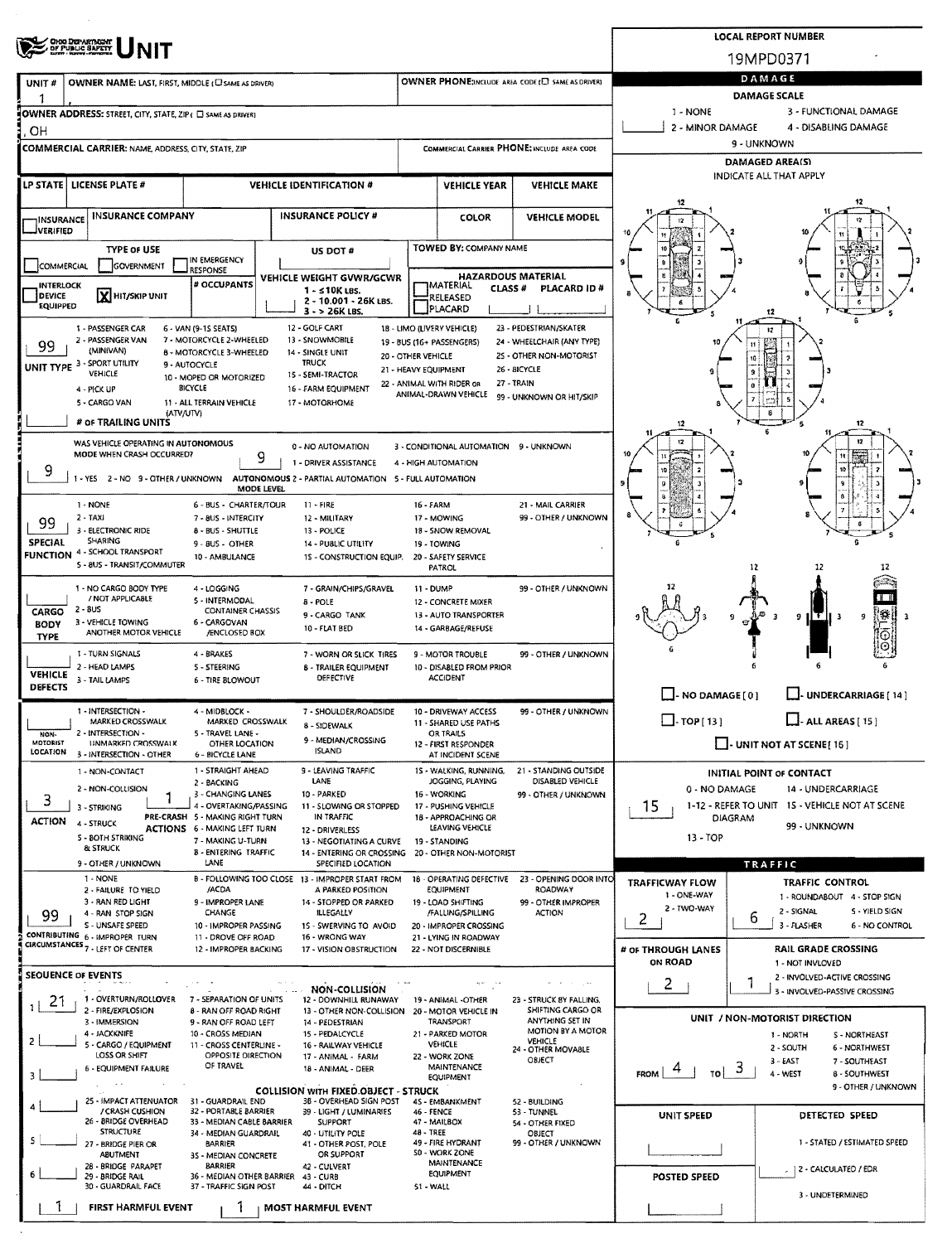